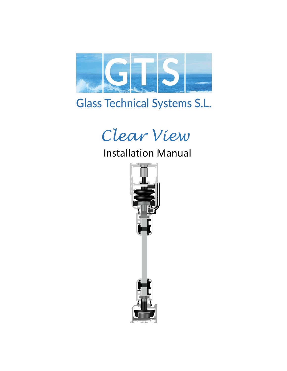

# **Glass Technical Systems S.L.**

# *Clear View*

# Installation Manual

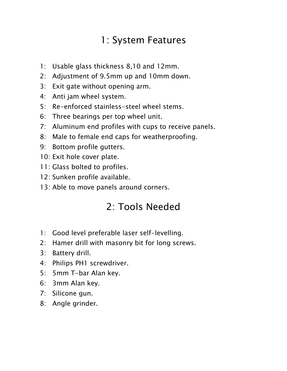#### 1: System Features

- 1: Usable glass thickness 8,10 and 12mm.
- 2: Adjustment of 9.5mm up and 10mm down.
- 3: Exit gate without opening arm.
- 4: Anti jam wheel system.
- 5: Re-enforced stainless-steel wheel stems.
- 6: Three bearings per top wheel unit.
- 7: Aluminum end profiles with cups to receive panels.
- 8: Male to female end caps for weatherproofing.
- 9: Bottom profile gutters.
- 10: Exit hole cover plate.
- 11: Glass bolted to profiles.
- 12: Sunken profile available.
- 13: Able to move panels around corners.

#### 2: Tools Needed

- 1: Good level preferable laser self-levelling.
- 2: Hamer drill with masonry bit for long screws.
- 3: Battery drill.
- 4: Philips PH1 screwdriver.
- 5: 5mm T-bar Alan key.
- 6: 3mm Alan key.
- 7: Silicone gun.
- 8: Angle grinder.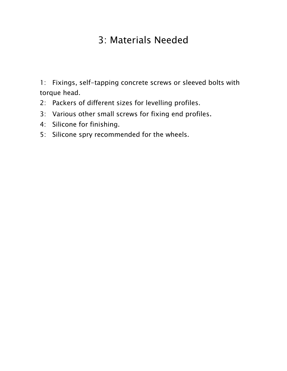#### 3: Materials Needed

1: Fixings, self-tapping concrete screws or sleeved bolts with torque head.

- 2: Packers of different sizes for levelling profiles.
- 3: Various other small screws for fixing end profiles.
- 4: Silicone for finishing.
- 5: Silicone spry recommended for the wheels.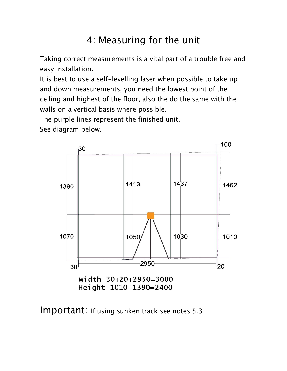# 4: Measuring for the unit

Taking correct measurements is a vital part of a trouble free and easy installation.

It is best to use a self-levelling laser when possible to take up and down measurements, you need the lowest point of the ceiling and highest of the floor, also the do the same with the walls on a vertical basis where possible.

The purple lines represent the finished unit.

See diagram below.



Important: If using sunken track see notes 5.3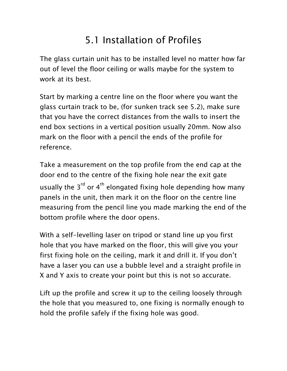# 5.1 Installation of Profiles

The glass curtain unit has to be installed level no matter how far out of level the floor ceiling or walls maybe for the system to work at its best.

Start by marking a centre line on the floor where you want the glass curtain track to be, (for sunken track see 5.2), make sure that you have the correct distances from the walls to insert the end box sections in a vertical position usually 20mm. Now also mark on the floor with a pencil the ends of the profile for reference.

Take a measurement on the top profile from the end cap at the door end to the centre of the fixing hole near the exit gate usually the  $3^{rd}$  or  $4^{th}$  elongated fixing hole depending how many panels in the unit, then mark it on the floor on the centre line measuring from the pencil line you made marking the end of the bottom profile where the door opens.

With a self-levelling laser on tripod or stand line up you first hole that you have marked on the floor, this will give you your first fixing hole on the ceiling, mark it and drill it. If you don't have a laser you can use a bubble level and a straight profile in X and Y axis to create your point but this is not so accurate.

Lift up the profile and screw it up to the ceiling loosely through the hole that you measured to, one fixing is normally enough to hold the profile safely if the fixing hole was good.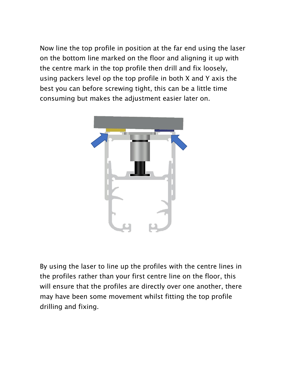Now line the top profile in position at the far end using the laser on the bottom line marked on the floor and aligning it up with the centre mark in the top profile then drill and fix loosely, using packers level op the top profile in both X and Y axis the best you can before screwing tight, this can be a little time consuming but makes the adjustment easier later on.



By using the laser to line up the profiles with the centre lines in the profiles rather than your first centre line on the floor, this will ensure that the profiles are directly over one another, there may have been some movement whilst fitting the top profile drilling and fixing.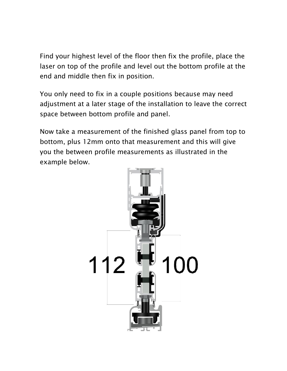Find your highest level of the floor then fix the profile, place the laser on top of the profile and level out the bottom profile at the end and middle then fix in position.

You only need to fix in a couple positions because may need adjustment at a later stage of the installation to leave the correct space between bottom profile and panel.

Now take a measurement of the finished glass panel from top to bottom, plus 12mm onto that measurement and this will give you the between profile measurements as illustrated in the example below.

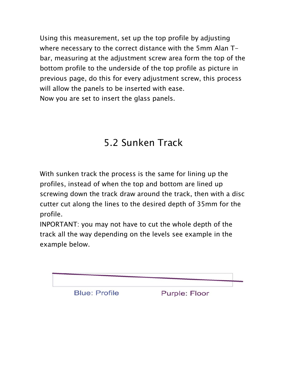Using this measurement, set up the top profile by adjusting where necessary to the correct distance with the 5mm Alan Tbar, measuring at the adjustment screw area form the top of the bottom profile to the underside of the top profile as picture in previous page, do this for every adjustment screw, this process will allow the panels to be inserted with ease. Now you are set to insert the glass panels.

#### 5.2 Sunken Track

With sunken track the process is the same for lining up the profiles, instead of when the top and bottom are lined up screwing down the track draw around the track, then with a disc cutter cut along the lines to the desired depth of 35mm for the profile.

INPORTANT: you may not have to cut the whole depth of the track all the way depending on the levels see example in the example below.

**Blue: Profile** Purple: Floor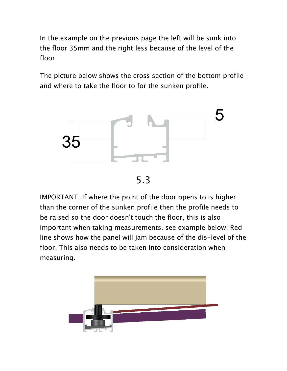In the example on the previous page the left will be sunk into the floor 35mm and the right less because of the level of the floor.

The picture below shows the cross section of the bottom profile and where to take the floor to for the sunken profile.



5.3

IMPORTANT: If where the point of the door opens to is higher than the corner of the sunken profile then the profile needs to be raised so the door doesn't touch the floor, this is also important when taking measurements. see example below. Red line shows how the panel will jam because of the dis-level of the floor. This also needs to be taken into consideration when measuring.

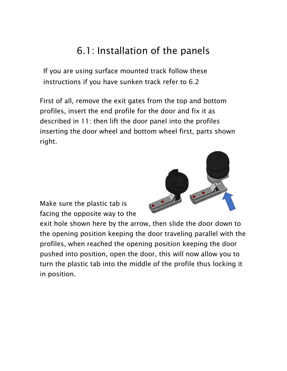#### 6.1: Installation of the panels

If you are using surface mounted track follow these instructions if you have sunken track refer to 6.2

First of all, remove the exit gates from the top and bottom profiles, insert the end profile for the door and fix it as described in 11: then lift the door panel into the profiles inserting the door wheel and bottom wheel first, parts shown right.



Make sure the plastic tab is facing the opposite way to the

exit hole shown here by the arrow, then slide the door down to the opening position keeping the door traveling parallel with the profiles, when reached the opening position keeping the door pushed into position, open the door, this will now allow you to turn the plastic tab into the middle of the profile thus locking it in position.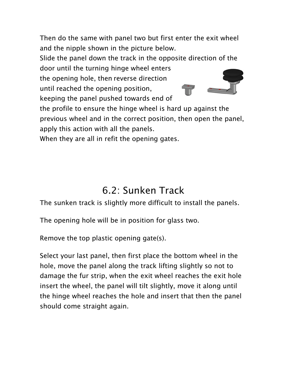Then do the same with panel two but first enter the exit wheel and the nipple shown in the picture below.

Slide the panel down the track in the opposite direction of the door until the turning hinge wheel enters

the opening hole, then reverse direction until reached the opening position, keeping the panel pushed towards end of



the profile to ensure the hinge wheel is hard up against the previous wheel and in the correct position, then open the panel, apply this action with all the panels.

When they are all in refit the opening gates.

# 6.2: Sunken Track

The sunken track is slightly more difficult to install the panels.

The opening hole will be in position for glass two.

Remove the top plastic opening gate(s).

Select your last panel, then first place the bottom wheel in the hole, move the panel along the track lifting slightly so not to damage the fur strip, when the exit wheel reaches the exit hole insert the wheel, the panel will tilt slightly, move it along until the hinge wheel reaches the hole and insert that then the panel should come straight again.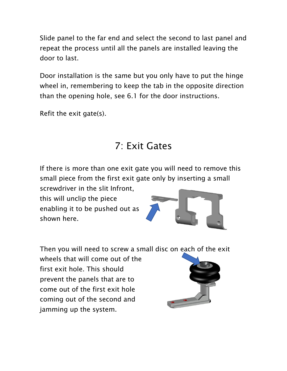Slide panel to the far end and select the second to last panel and repeat the process until all the panels are installed leaving the door to last.

Door installation is the same but you only have to put the hinge wheel in, remembering to keep the tab in the opposite direction than the opening hole, see 6.1 for the door instructions.

Refit the exit gate(s).

#### 7: Exit Gates

If there is more than one exit gate you will need to remove this small piece from the first exit gate only by inserting a small

screwdriver in the slit Infront, this will unclip the piece enabling it to be pushed out as shown here.



Then you will need to screw a small disc on each of the exit

wheels that will come out of the first exit hole. This should prevent the panels that are to come out of the first exit hole coming out of the second and jamming up the system.

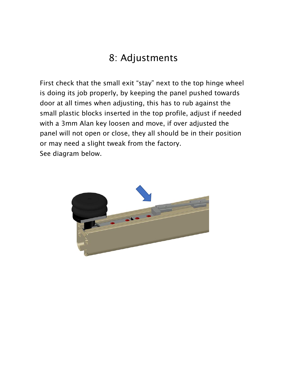#### 8: Adjustments

First check that the small exit "stay" next to the top hinge wheel is doing its job properly, by keeping the panel pushed towards door at all times when adjusting, this has to rub against the small plastic blocks inserted in the top profile, adjust if needed with a 3mm Alan key loosen and move, if over adjusted the panel will not open or close, they all should be in their position or may need a slight tweak from the factory. See diagram below.

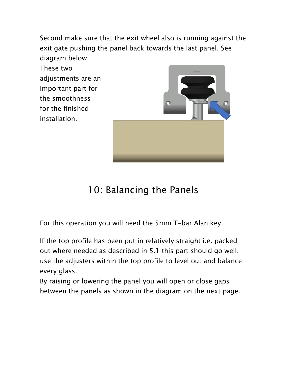Second make sure that the exit wheel also is running against the exit gate pushing the panel back towards the last panel. See diagram below.

These two adjustments are an important part for the smoothness for the finished installation.



# 10: Balancing the Panels

For this operation you will need the 5mm T-bar Alan key.

If the top profile has been put in relatively straight i.e. packed out where needed as described in 5.1 this part should go well, use the adjusters within the top profile to level out and balance every glass.

By raising or lowering the panel you will open or close gaps between the panels as shown in the diagram on the next page.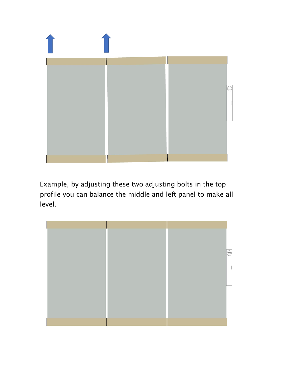

Example, by adjusting these two adjusting bolts in the top profile you can balance the middle and left panel to make all level.

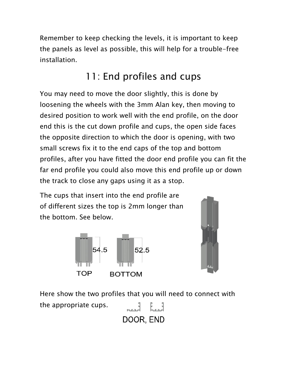Remember to keep checking the levels, it is important to keep the panels as level as possible, this will help for a trouble-free installation.

# 11: End profiles and cups

You may need to move the door slightly, this is done by loosening the wheels with the 3mm Alan key, then moving to desired position to work well with the end profile, on the door end this is the cut down profile and cups, the open side faces the opposite direction to which the door is opening, with two small screws fix it to the end caps of the top and bottom profiles, after you have fitted the door end profile you can fit the far end profile you could also move this end profile up or down the track to close any gaps using it as a stop.

The cups that insert into the end profile are of different sizes the top is 2mm longer than the bottom. See below.





Here show the two profiles that you will need to connect with